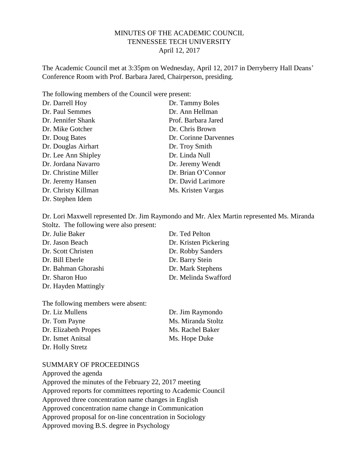# MINUTES OF THE ACADEMIC COUNCIL TENNESSEE TECH UNIVERSITY April 12, 2017

The Academic Council met at 3:35pm on Wednesday, April 12, 2017 in Derryberry Hall Deans' Conference Room with Prof. Barbara Jared, Chairperson, presiding.

The following members of the Council were present:

| Dr. Darrell Hoy      | Dr. Tammy Boles       |
|----------------------|-----------------------|
| Dr. Paul Semmes      | Dr. Ann Hellman       |
| Dr. Jennifer Shank   | Prof. Barbara Jared   |
| Dr. Mike Gotcher     | Dr. Chris Brown       |
| Dr. Doug Bates       | Dr. Corinne Darvennes |
| Dr. Douglas Airhart  | Dr. Troy Smith        |
| Dr. Lee Ann Shipley  | Dr. Linda Null        |
| Dr. Jordana Navarro  | Dr. Jeremy Wendt      |
| Dr. Christine Miller | Dr. Brian O'Connor    |
| Dr. Jeremy Hansen    | Dr. David Larimore    |
| Dr. Christy Killman  | Ms. Kristen Vargas    |
| Dr. Stephen Idem     |                       |

Dr. Lori Maxwell represented Dr. Jim Raymondo and Mr. Alex Martin represented Ms. Miranda Stoltz. The following were also present:

| Dr. Julie Baker      | Dr. Ted Pelton        |
|----------------------|-----------------------|
| Dr. Jason Beach      | Dr. Kristen Pickering |
| Dr. Scott Christen   | Dr. Robby Sanders     |
| Dr. Bill Eberle      | Dr. Barry Stein       |
| Dr. Bahman Ghorashi  | Dr. Mark Stephens     |
| Dr. Sharon Huo       | Dr. Melinda Swafford  |
| Dr. Hayden Mattingly |                       |

| The following members were absent: |                    |
|------------------------------------|--------------------|
| Dr. Liz Mullens                    | Dr. Jim Raymondo   |
| Dr. Tom Payne                      | Ms. Miranda Stoltz |
| Dr. Elizabeth Propes               | Ms. Rachel Baker   |
| Dr. Ismet Anitsal                  | Ms. Hope Duke      |
| Dr. Holly Stretz                   |                    |

#### SUMMARY OF PROCEEDINGS

Approved the agenda Approved the minutes of the February 22, 2017 meeting Approved reports for committees reporting to Academic Council Approved three concentration name changes in English Approved concentration name change in Communication Approved proposal for on-line concentration in Sociology Approved moving B.S. degree in Psychology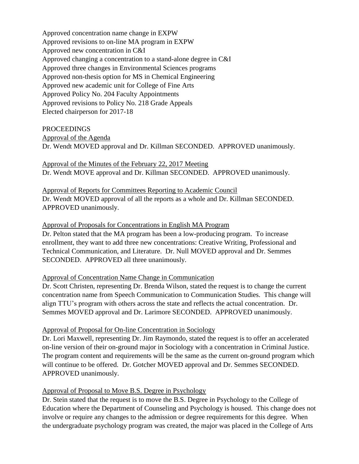Approved concentration name change in EXPW Approved revisions to on-line MA program in EXPW Approved new concentration in C&I Approved changing a concentration to a stand-alone degree in C&I Approved three changes in Environmental Sciences programs Approved non-thesis option for MS in Chemical Engineering Approved new academic unit for College of Fine Arts Approved Policy No. 204 Faculty Appointments Approved revisions to Policy No. 218 Grade Appeals Elected chairperson for 2017-18

#### PROCEEDINGS

Approval of the Agenda

Dr. Wendt MOVED approval and Dr. Killman SECONDED. APPROVED unanimously.

Approval of the Minutes of the February 22, 2017 Meeting Dr. Wendt MOVE approval and Dr. Killman SECONDED. APPROVED unanimously.

## Approval of Reports for Committees Reporting to Academic Council

Dr. Wendt MOVED approval of all the reports as a whole and Dr. Killman SECONDED. APPROVED unanimously.

#### Approval of Proposals for Concentrations in English MA Program

Dr. Pelton stated that the MA program has been a low-producing program. To increase enrollment, they want to add three new concentrations: Creative Writing, Professional and Technical Communication, and Literature. Dr. Null MOVED approval and Dr. Semmes SECONDED. APPROVED all three unanimously.

# Approval of Concentration Name Change in Communication

Dr. Scott Christen, representing Dr. Brenda Wilson, stated the request is to change the current concentration name from Speech Communication to Communication Studies. This change will align TTU's program with others across the state and reflects the actual concentration. Dr. Semmes MOVED approval and Dr. Larimore SECONDED. APPROVED unanimously.

# Approval of Proposal for On-line Concentration in Sociology

Dr. Lori Maxwell, representing Dr. Jim Raymondo, stated the request is to offer an accelerated on-line version of their on-ground major in Sociology with a concentration in Criminal Justice. The program content and requirements will be the same as the current on-ground program which will continue to be offered. Dr. Gotcher MOVED approval and Dr. Semmes SECONDED. APPROVED unanimously.

# Approval of Proposal to Move B.S. Degree in Psychology

Dr. Stein stated that the request is to move the B.S. Degree in Psychology to the College of Education where the Department of Counseling and Psychology is housed. This change does not involve or require any changes to the admission or degree requirements for this degree. When the undergraduate psychology program was created, the major was placed in the College of Arts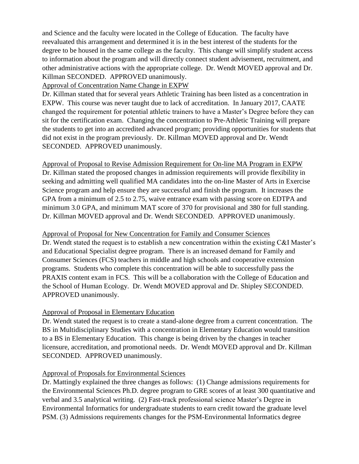and Science and the faculty were located in the College of Education. The faculty have reevaluated this arrangement and determined it is in the best interest of the students for the degree to be housed in the same college as the faculty. This change will simplify student access to information about the program and will directly connect student advisement, recruitment, and other administrative actions with the appropriate college. Dr. Wendt MOVED approval and Dr. Killman SECONDED. APPROVED unanimously.

Approval of Concentration Name Change in EXPW

Dr. Killman stated that for several years Athletic Training has been listed as a concentration in EXPW. This course was never taught due to lack of accreditation. In January 2017, CAATE changed the requirement for potential athletic trainers to have a Master's Degree before they can sit for the certification exam. Changing the concentration to Pre-Athletic Training will prepare the students to get into an accredited advanced program; providing opportunities for students that did not exist in the program previously. Dr. Killman MOVED approval and Dr. Wendt SECONDED. APPROVED unanimously.

Approval of Proposal to Revise Admission Requirement for On-line MA Program in EXPW Dr. Killman stated the proposed changes in admission requirements will provide flexibility in seeking and admitting well qualified MA candidates into the on-line Master of Arts in Exercise Science program and help ensure they are successful and finish the program. It increases the GPA from a minimum of 2.5 to 2.75, waive entrance exam with passing score on EDTPA and minimum 3.0 GPA, and minimum MAT score of 370 for provisional and 380 for full standing. Dr. Killman MOVED approval and Dr. Wendt SECONDED. APPROVED unanimously.

Approval of Proposal for New Concentration for Family and Consumer Sciences

Dr. Wendt stated the request is to establish a new concentration within the existing C&I Master's and Educational Specialist degree program. There is an increased demand for Family and Consumer Sciences (FCS) teachers in middle and high schools and cooperative extension programs. Students who complete this concentration will be able to successfully pass the PRAXIS content exam in FCS. This will be a collaboration with the College of Education and the School of Human Ecology. Dr. Wendt MOVED approval and Dr. Shipley SECONDED. APPROVED unanimously.

# Approval of Proposal in Elementary Education

Dr. Wendt stated the request is to create a stand-alone degree from a current concentration. The BS in Multidisciplinary Studies with a concentration in Elementary Education would transition to a BS in Elementary Education. This change is being driven by the changes in teacher licensure, accreditation, and promotional needs. Dr. Wendt MOVED approval and Dr. Killman SECONDED. APPROVED unanimously.

# Approval of Proposals for Environmental Sciences

Dr. Mattingly explained the three changes as follows: (1) Change admissions requirements for the Environmental Sciences Ph.D. degree program to GRE scores of at least 300 quantitative and verbal and 3.5 analytical writing. (2) Fast-track professional science Master's Degree in Environmental Informatics for undergraduate students to earn credit toward the graduate level PSM. (3) Admissions requirements changes for the PSM-Environmental Informatics degree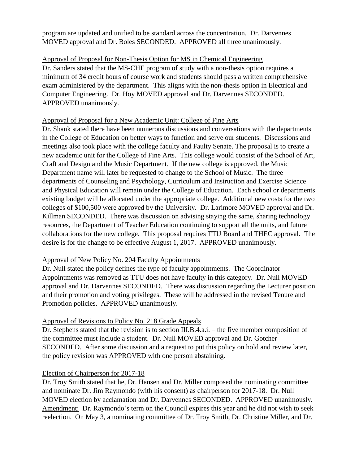program are updated and unified to be standard across the concentration. Dr. Darvennes MOVED approval and Dr. Boles SECONDED. APPROVED all three unanimously.

Approval of Proposal for Non-Thesis Option for MS in Chemical Engineering Dr. Sanders stated that the MS-CHE program of study with a non-thesis option requires a minimum of 34 credit hours of course work and students should pass a written comprehensive exam administered by the department. This aligns with the non-thesis option in Electrical and Computer Engineering. Dr. Hoy MOVED approval and Dr. Darvennes SECONDED. APPROVED unanimously.

# Approval of Proposal for a New Academic Unit: College of Fine Arts

Dr. Shank stated there have been numerous discussions and conversations with the departments in the College of Education on better ways to function and serve our students. Discussions and meetings also took place with the college faculty and Faulty Senate. The proposal is to create a new academic unit for the College of Fine Arts. This college would consist of the School of Art, Craft and Design and the Music Department. If the new college is approved, the Music Department name will later be requested to change to the School of Music. The three departments of Counseling and Psychology, Curriculum and Instruction and Exercise Science and Physical Education will remain under the College of Education. Each school or departments existing budget will be allocated under the appropriate college. Additional new costs for the two colleges of \$100,500 were approved by the University. Dr. Larimore MOVED approval and Dr. Killman SECONDED. There was discussion on advising staying the same, sharing technology resources, the Department of Teacher Education continuing to support all the units, and future collaborations for the new college. This proposal requires TTU Board and THEC approval. The desire is for the change to be effective August 1, 2017. APPROVED unanimously.

# Approval of New Policy No. 204 Faculty Appointments

Dr. Null stated the policy defines the type of faculty appointments. The Coordinator Appointments was removed as TTU does not have faculty in this category. Dr. Null MOVED approval and Dr. Darvennes SECONDED. There was discussion regarding the Lecturer position and their promotion and voting privileges. These will be addressed in the revised Tenure and Promotion policies. APPROVED unanimously.

# Approval of Revisions to Policy No. 218 Grade Appeals

Dr. Stephens stated that the revision is to section III.B.4.a.i. – the five member composition of the committee must include a student. Dr. Null MOVED approval and Dr. Gotcher SECONDED. After some discussion and a request to put this policy on hold and review later, the policy revision was APPROVED with one person abstaining.

# Election of Chairperson for 2017-18

Dr. Troy Smith stated that he, Dr. Hansen and Dr. Miller composed the nominating committee and nominate Dr. Jim Raymondo (with his consent) as chairperson for 2017-18. Dr. Null MOVED election by acclamation and Dr. Darvennes SECONDED. APPROVED unanimously. Amendment: Dr. Raymondo's term on the Council expires this year and he did not wish to seek reelection. On May 3, a nominating committee of Dr. Troy Smith, Dr. Christine Miller, and Dr.